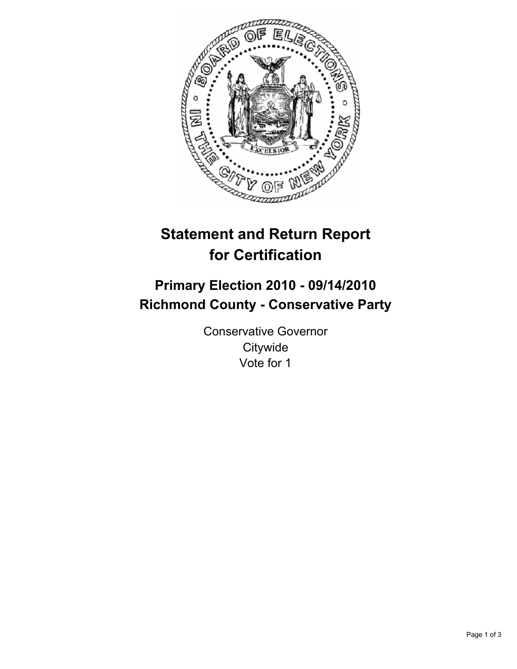

# **Statement and Return Report for Certification**

# **Primary Election 2010 - 09/14/2010 Richmond County - Conservative Party**

Conservative Governor **Citywide** Vote for 1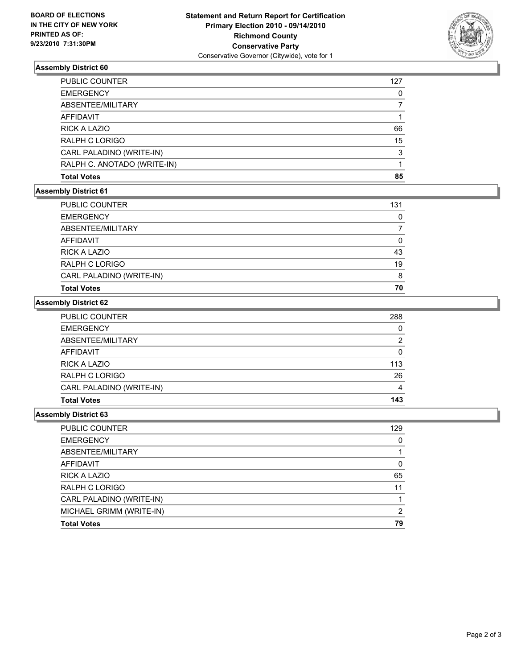

## **Assembly District 60**

| <b>PUBLIC COUNTER</b>       | 127 |
|-----------------------------|-----|
| <b>EMERGENCY</b>            | 0   |
| ABSENTEE/MILITARY           |     |
| AFFIDAVIT                   |     |
| <b>RICK A LAZIO</b>         | 66  |
| RALPH C LORIGO              | 15  |
| CARL PALADINO (WRITE-IN)    | 3   |
| RALPH C. ANOTADO (WRITE-IN) |     |
| <b>Total Votes</b>          | 85  |

# **Assembly District 61**

| PUBLIC COUNTER           | 131 |
|--------------------------|-----|
| <b>EMERGENCY</b>         | 0   |
| ABSENTEE/MILITARY        |     |
| AFFIDAVIT                | 0   |
| <b>RICK A LAZIO</b>      | 43  |
| <b>RALPH C LORIGO</b>    | 19  |
| CARL PALADINO (WRITE-IN) | 8   |
| <b>Total Votes</b>       | 70  |

#### **Assembly District 62**

| <b>PUBLIC COUNTER</b>    | 288 |
|--------------------------|-----|
| <b>EMERGENCY</b>         | 0   |
| ABSENTEE/MILITARY        | 2   |
| AFFIDAVIT                | 0   |
| RICK A LAZIO             | 113 |
| RALPH C LORIGO           | 26  |
| CARL PALADINO (WRITE-IN) | 4   |
| <b>Total Votes</b>       | 143 |

## **Assembly District 63**

| <b>PUBLIC COUNTER</b>    | 129          |
|--------------------------|--------------|
| <b>EMERGENCY</b>         | <sup>0</sup> |
| ABSENTEE/MILITARY        |              |
| AFFIDAVIT                | <sup>0</sup> |
| <b>RICK A LAZIO</b>      | 65           |
| RALPH C LORIGO           |              |
| CARL PALADINO (WRITE-IN) |              |
| MICHAEL GRIMM (WRITE-IN) | າ            |
| <b>Total Votes</b>       | 79           |